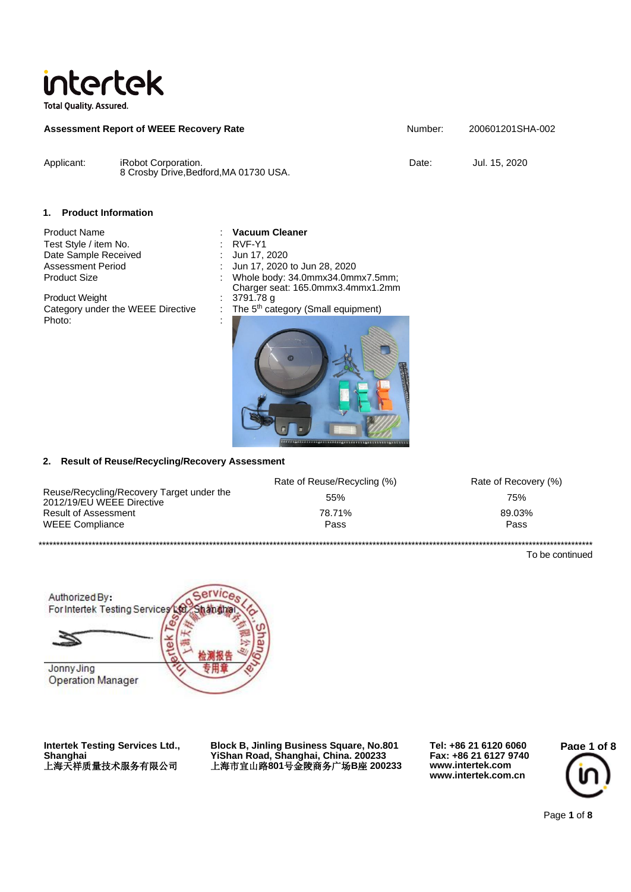

**Total Quality. Assured.** 

| <b>Assessment Report of WEEE Recovery Rate</b> |                                                               | Number: | 200601201SHA-002 |  |
|------------------------------------------------|---------------------------------------------------------------|---------|------------------|--|
| Applicant:                                     | iRobot Corporation.<br>8 Crosby Drive, Bedford, MA 01730 USA. | Date:   | Jul. 15, 2020    |  |

### **1. Product Information**

Product Name **: Vacuum Cleaner** Test Style / item No.<br>
Date Sample Received
in the Sun 17, 2020 Date Sample Received

Product Weight Category under the WEEE Directive : Photo:

Assessment Period<br>
Product Size<br>
Product Size<br>  $\therefore$  Whole body: 34.0mmx34.0mm Whole body: 34.0mmx34.0mmx7.5mm; Charger seat: 165.0mmx3.4mmx1.2mm The 5<sup>th</sup> category (Small equipment)



#### **2. Result of Reuse/Recycling/Recovery Assessment**

|                                                                        | Rate of Reuse/Recycling (%) | Rate of Recovery (%) |
|------------------------------------------------------------------------|-----------------------------|----------------------|
| Reuse/Recycling/Recovery Target under the<br>2012/19/EU WEEE Directive | 55%                         | 75%                  |
| Result of Assessment                                                   | 78.71%                      | 89.03%               |
| <b>WEEE Compliance</b>                                                 | Pass                        | Pass                 |
|                                                                        |                             |                      |

To be continued



**Intertek Testing Services Ltd., Shanghai** 上海天祥质量技术服务有限公司

**Block B, Jinling Business Square, No.801 YiShan Road, Shanghai, China. 200233** 上海市宜山路**801**号金陵商务广场**B**座 **200233**

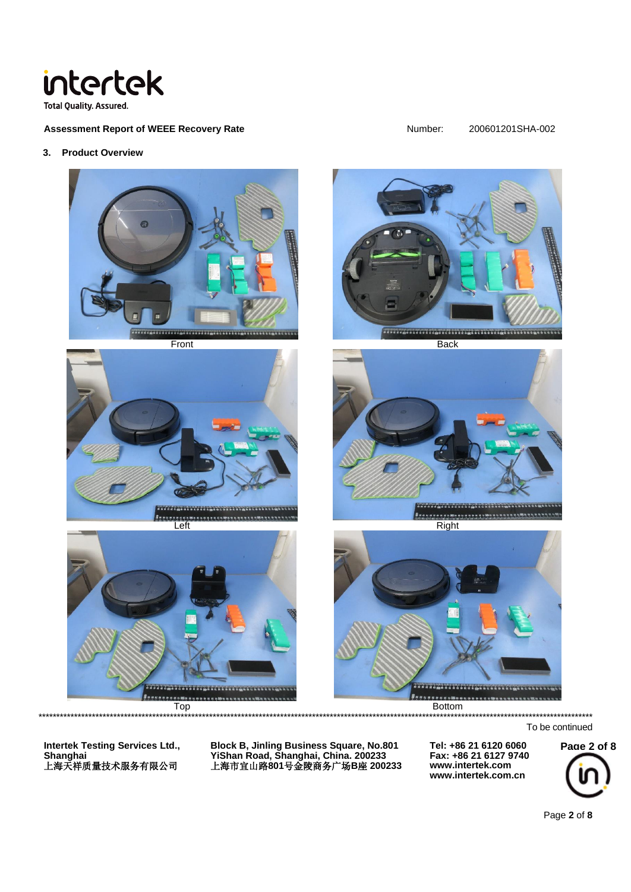

Assessment Report of WEEE Recovery Rate

Number:

#### 200601201SHA-002

3. Product Overview



\*\*\*\*\*\*\*\*\*\*\*\*\*\*\*\*\*\*\*\*\*\*\*\*\*\*\*\*\*\*

To be continued

**Intertek Testing Services Ltd.,** 

**Block B, Jinling Business Square, No.801** - YiShan Road, Shanghai, China. 200233<br>上海市宜山路801号金陵商务广场B座 200233

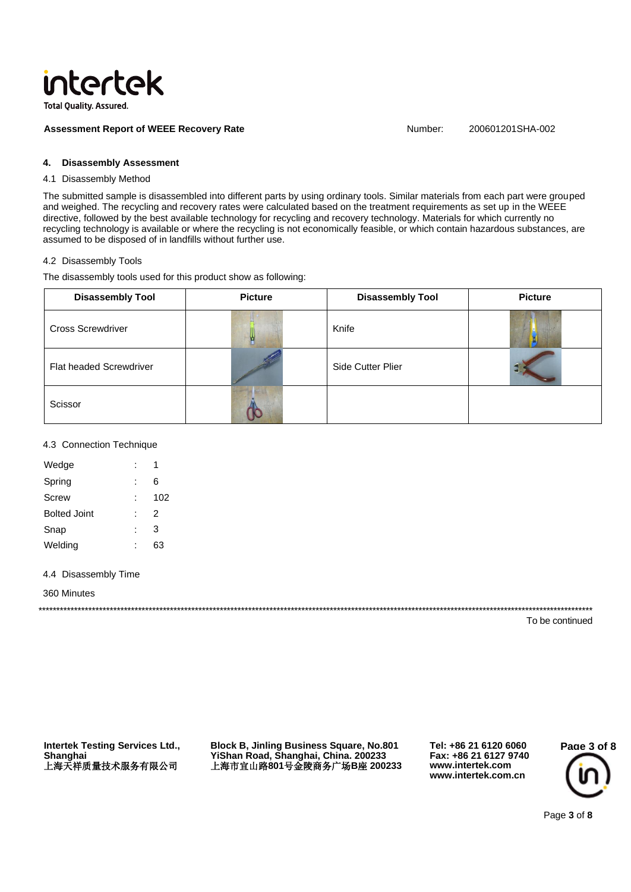

**Assessment Report of WEEE Recovery Rate** 

Number: 200601201SHA-002

#### **Disassembly Assessment** 4.

# 4.1 Disassembly Method

The submitted sample is disassembled into different parts by using ordinary tools. Similar materials from each part were grouped and weighed. The recycling and recovery rates were calculated based on the treatment requirements as set up in the WEEE directive, followed by the best available technology for recycling and recovery technology. Materials for which currently no recycling technology is available or where the recycling is not economically feasible, or which contain hazardous substances, are assumed to be disposed of in landfills without further use.

#### 4.2 Disassembly Tools

The disassembly tools used for this product show as following:

| <b>Disassembly Tool</b>        | <b>Picture</b> | <b>Disassembly Tool</b>  | <b>Picture</b> |
|--------------------------------|----------------|--------------------------|----------------|
| <b>Cross Screwdriver</b>       |                | Knife                    |                |
| <b>Flat headed Screwdriver</b> |                | <b>Side Cutter Plier</b> |                |
| Scissor                        |                |                          |                |

### 4.3 Connection Technique

| Wedge        |     |
|--------------|-----|
| Spring       | 6   |
| Screw        | 102 |
| Bolted Joint | 2   |
| Snap         | 3   |
| Welding      | 63  |
|              |     |

### 4.4 Disassembly Time

360 Minutes

To be continued

**Intertek Testing Services Ltd.,** Shanghai 上海天祥质量技术服务有限公司

**Block B, Jinling Business Square, No.801** YiShan Road, Shanghai, China. 200233<br>上海市宜山路801号金陵商务广场B座 200233

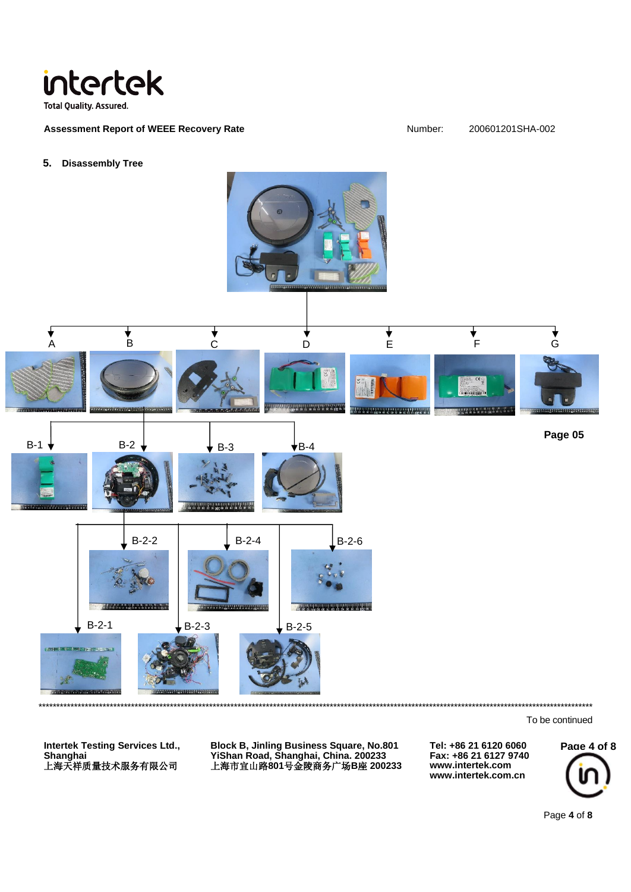

**Assessment Report of WEEE Recovery Rate** 

#### Number: 200601201SHA-002

#### **Disassembly Tree**  $5.$



To be continued

**Intertek Testing Services Ltd.,** 

**Block B, Jinling Business Square, No.801** - YiShan Road, Shanghai, China. 200233<br>上海市宜山路801号金陵商务广场B座 200233

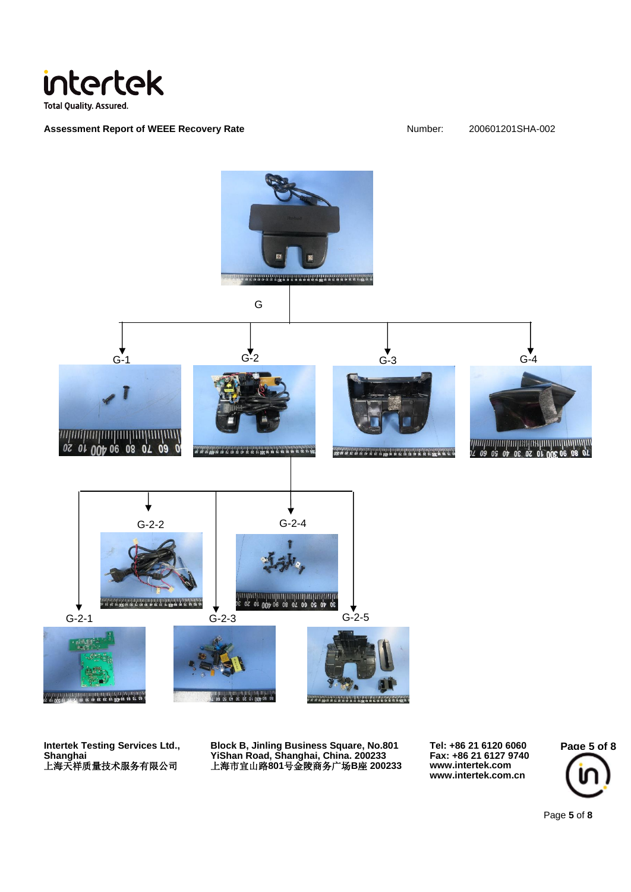

Assessment Report of WEEE Recovery Rate<br> **Assessment Report of WEEE Recovery Rate** Number: 200601201SHA-002



**Intertek Testing Services Ltd., Shanghai** 上海天祥质量技术服务有限公司

**Block B, Jinling Business Square, No.801 YiShan Road, Shanghai, China. 200233** 上海市宜山路**801**号金陵商务广场**B**座 **200233** **Tel: +86 21 6120 6060 Fax: +86 21 6127 9740 www.intertek.com www.intertek.com.cn**



Page **5** of **8**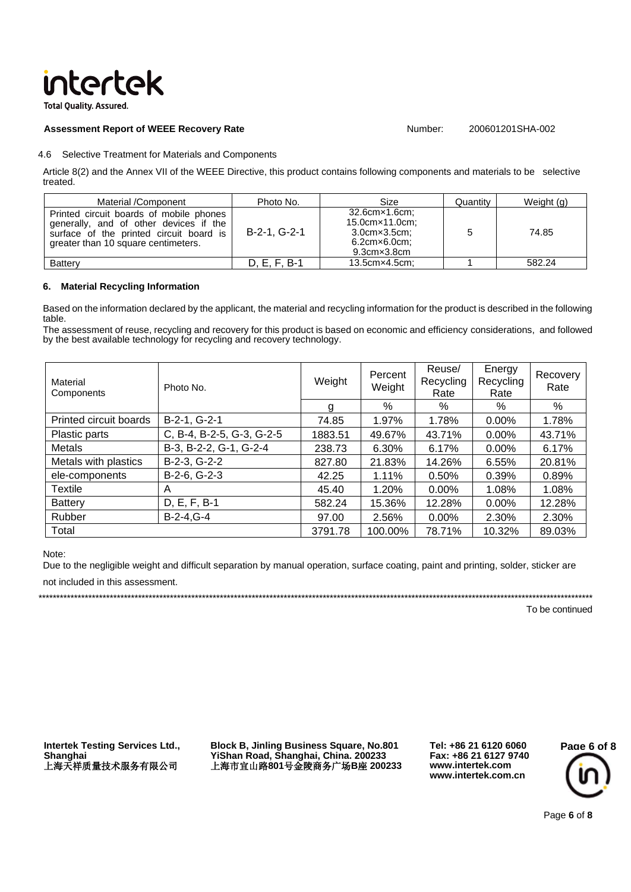# intertek

**Total Ouality, Assured.** 

### **Assessment Report of WEEE Recovery Rate** Number: 200601201SHA-002

### 4.6 Selective Treatment for Materials and Components

Article 8(2) and the Annex VII of the WEEE Directive, this product contains following components and materials to be selective treated.

| Material /Component                                                                                                                                                 | Photo No.    | Size                                                                                                        | Quantity | Weight (g) |
|---------------------------------------------------------------------------------------------------------------------------------------------------------------------|--------------|-------------------------------------------------------------------------------------------------------------|----------|------------|
| Printed circuit boards of mobile phones<br>generally, and of other devices if the<br>surface of the printed circuit board is<br>greater than 10 square centimeters. | B-2-1, G-2-1 | 32.6cm×1.6cm;<br>15.0cm×11.0cm;<br>$3.0cm \times 3.5cm$<br>$6.2$ cm $\times$ 6.0cm;<br>$9.3cm \times 3.8cm$ |          | 74.85      |
| <b>Battery</b>                                                                                                                                                      | D. E. F. B-1 | $13.5cm \times 4.5cm$ :                                                                                     |          | 582.24     |

## **6. Material Recycling Information**

Based on the information declared by the applicant, the material and recycling information for the product is described in the following table.

The assessment of reuse, recycling and recovery for this product is based on economic and efficiency considerations, and followed by the best available technology for recycling and recovery technology.

| Material<br>Components | Photo No.                 | Weight  | Percent<br>Weight | Reuse/<br>Recycling<br>Rate | Energy<br>Recycling<br>Rate | Recovery<br>Rate |
|------------------------|---------------------------|---------|-------------------|-----------------------------|-----------------------------|------------------|
|                        |                           | g       | %                 | %                           | %                           | $\%$             |
| Printed circuit boards | B-2-1, G-2-1              | 74.85   | 1.97%             | 1.78%                       | 0.00%                       | 1.78%            |
| Plastic parts          | C, B-4, B-2-5, G-3, G-2-5 | 1883.51 | 49.67%            | 43.71%                      | 0.00%                       | 43.71%           |
| Metals                 | B-3, B-2-2, G-1, G-2-4    | 238.73  | 6.30%             | 6.17%                       | 0.00%                       | 6.17%            |
| Metals with plastics   | B-2-3, G-2-2              | 827.80  | 21.83%            | 14.26%                      | 6.55%                       | 20.81%           |
| ele-components         | B-2-6, G-2-3              | 42.25   | 1.11%             | 0.50%                       | 0.39%                       | 0.89%            |
| <b>Textile</b>         | A                         | 45.40   | 1.20%             | 0.00%                       | 1.08%                       | 1.08%            |
| <b>Battery</b>         | D, E, F, B-1              | 582.24  | 15.36%            | 12.28%                      | 0.00%                       | 12.28%           |
| Rubber                 | $B-2-4$ , $G-4$           | 97.00   | 2.56%             | 0.00%                       | 2.30%                       | 2.30%            |
| Total                  |                           | 3791.78 | 100.00%           | 78.71%                      | 10.32%                      | 89.03%           |

#### Note:

Due to the negligible weight and difficult separation by manual operation, surface coating, paint and printing, solder, sticker are

not included in this assessment.

\*\*\*\*\*\*\*\*\*\*\*\*\*\*\*\*\*\*\*\*\*\*\*\*\*\*\*\*\*\*\*\*\*\*\*\*\*\*\*\*\*\*\*\*\*\*\*\*\*\*\*\*\*\*\*\*\*\*\*\*\*\*\*\*\*\*\*\*\*\*\*\*\*\*\*\*\*\*\*\*\*\*\*\*\*\*\*\*\*\*\*\*\*\*\*\*\*\*\*\*\*\*\*\*\*\*\*\*\*\*\*\*\*\*\*\*\*\*\*\*\*\*\*\*\*\*\*\*\*\*\*\*\*\*\*\*\*\*\*\*\*\*\*\*\*\*\*\*\*\*\*\*\*\*\*\*

To be continued

**Intertek Testing Services Ltd., Shanghai** 上海天祥质量技术服务有限公司

**Block B, Jinling Business Square, No.801 YiShan Road, Shanghai, China. 200233** 上海市宜山路**801**号金陵商务广场**B**座 **200233**

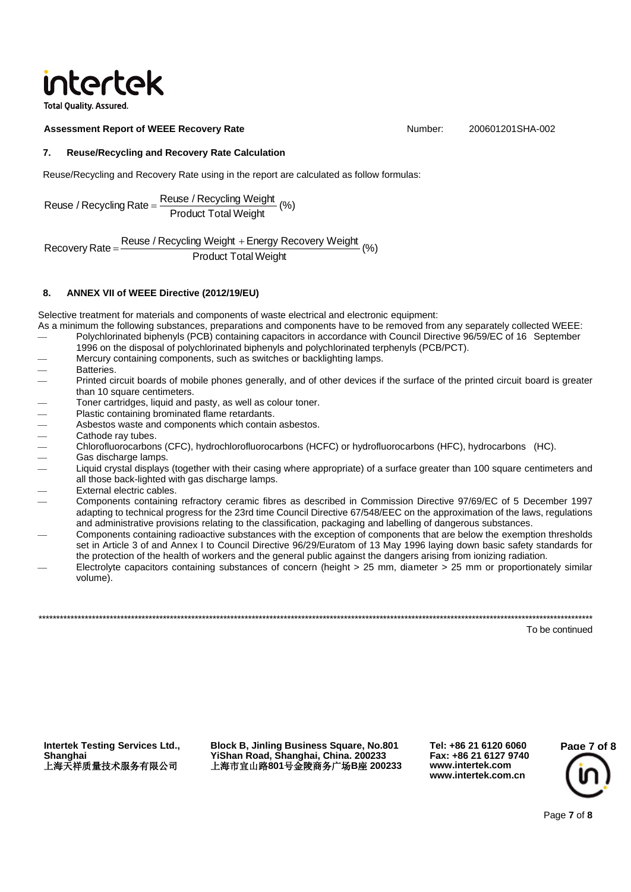# intertek

**Total Ouality, Assured** 

### **Assessment Report of WEEE Recovery Rate** Number: 200601201SHA-002

# **7. Reuse/Recycling and Recovery Rate Calculation**

Reuse/Recycling and Recovery Rate using in the report are calculated as follow formulas:

Reuse / Recycling Rate =  $\frac{\text{Reuse / Recycling Weight}}{\text{Product Total Weight}}$  (%)

Recovery Rate =  $\frac{\text{Reuse / Recycling Weight} + \text{Energy Recovery Weight}}{R}$  (%) Product Total Weight Recovery Rate =

## **8. ANNEX VII of WEEE Directive (2012/19/EU)**

Selective treatment for materials and components of waste electrical and electronic equipment:

- As a minimum the following substances, preparations and components have to be removed from any separately collected WEEE: Polychlorinated biphenyls (PCB) containing capacitors in accordance with Council Directive 96/59/EC of 16 September
- 1996 on the disposal of polychlorinated biphenyls and polychlorinated terphenyls (PCB/PCT).
- Mercury containing components, such as switches or backlighting lamps.
- **Batteries**
- Printed circuit boards of mobile phones generally, and of other devices if the surface of the printed circuit board is greater than 10 square centimeters.
- 
- Plastic containing brominated flame retardants.
- Asbestos waste and components which contain asbestos.
- Cathode ray tubes.
- ⎯ Chlorofluorocarbons (CFC), hydrochlorofluorocarbons (HCFC) or hydrofluorocarbons (HFC), hydrocarbons (HC).
- Gas discharge lamps.
- than 10 square centimeters.<br>
─ Toner cartridges, liquid and pasty, as well as colour toner.<br>
─ Plastic containing brominated flame retardants.<br>
─ Asbestos waste and components which contain asbestos.<br>
─ Cathode ray tubes. Liquid crystal displays (together with their casing where appropriate) of a surface greater than 100 square centimeters and all those back-lighted with gas discharge lamps.
- External electric cables.
- Components containing refractory ceramic fibres as described in Commission Directive 97/69/EC of 5 December 1997 adapting to technical progress for the 23rd time Council Directive 67/548/EEC on the approximation of the laws, regulations and administrative provisions relating to the classification, packaging and labelling of dangerous substances.
- ⎯ Components containing radioactive substances with the exception of components that are below the exemption thresholds set in Article 3 of and Annex I to Council Directive 96/29/Euratom of 13 May 1996 laying down basic safety standards for the protection of the health of workers and the general public against the dangers arising from ionizing radiation.
- Electrolyte capacitors containing substances of concern (height > 25 mm, diameter > 25 mm or proportionately similar volume).

\*\*\*\*\*\*\*\*\*\*\*\*\*\*\*\*\*\*\*\*\*\*\*\*\*\*\*\*\*\*\*\*\*\*\*\*\*\*\*\*\*\*\*\*\*\*\*\*\*\*\*\*\*\*\*\*\*\*\*\*\*\*\*\*\*\*\*\*\*\*\*\*\*\*\*\*\*\*\*\*\*\*\*\*\*\*\*\*\*\*\*\*\*\*\*\*\*\*\*\*\*\*\*\*\*\*\*\*\*\*\*\*\*\*\*\*\*\*\*\*\*\*\*\*\*\*\*\*\*\*\*\*\*\*\*\*\*\*\*\*\*\*\*\*\*\*\*\*\*\*\*\*\*\*\*\*

To be continued

**Intertek Testing Services Ltd., Shanghai** 上海天祥质量技术服务有限公司

**Block B, Jinling Business Square, No.801 YiShan Road, Shanghai, China. 200233** 上海市宜山路**801**号金陵商务广场**B**座 **200233**